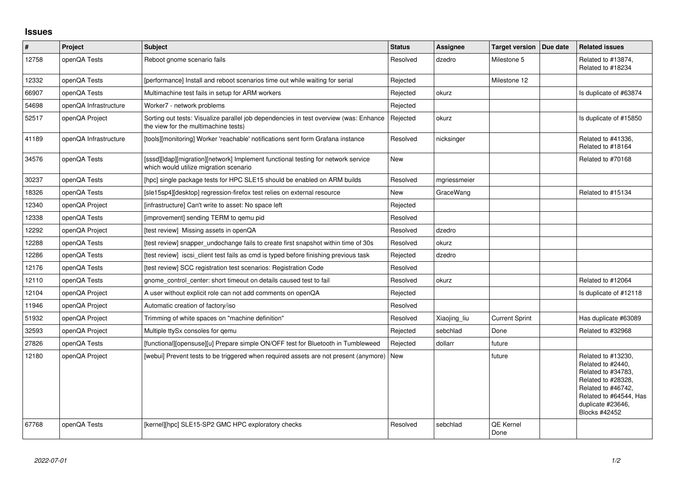## **Issues**

| $\vert$ # | <b>Project</b>        | <b>Subject</b>                                                                                                                | <b>Status</b> | <b>Assignee</b> | <b>Target version</b>    | Due date | <b>Related issues</b>                                                                                                                                                     |
|-----------|-----------------------|-------------------------------------------------------------------------------------------------------------------------------|---------------|-----------------|--------------------------|----------|---------------------------------------------------------------------------------------------------------------------------------------------------------------------------|
| 12758     | openQA Tests          | Reboot gnome scenario fails                                                                                                   | Resolved      | dzedro          | Milestone 5              |          | Related to #13874,<br>Related to #18234                                                                                                                                   |
| 12332     | openQA Tests          | [performance] Install and reboot scenarios time out while waiting for serial                                                  | Rejected      |                 | Milestone 12             |          |                                                                                                                                                                           |
| 66907     | openQA Tests          | Multimachine test fails in setup for ARM workers                                                                              | Rejected      | okurz           |                          |          | Is duplicate of #63874                                                                                                                                                    |
| 54698     | openQA Infrastructure | Worker7 - network problems                                                                                                    | Rejected      |                 |                          |          |                                                                                                                                                                           |
| 52517     | openQA Project        | Sorting out tests: Visualize parallel job dependencies in test overview (was: Enhance<br>the view for the multimachine tests) | Rejected      | okurz           |                          |          | Is duplicate of #15850                                                                                                                                                    |
| 41189     | openQA Infrastructure | [tools][monitoring] Worker 'reachable' notifications sent form Grafana instance                                               | Resolved      | nicksinger      |                          |          | Related to #41336,<br>Related to #18164                                                                                                                                   |
| 34576     | openQA Tests          | [sssd][Idap][migration][network] Implement functional testing for network service<br>which would utilize migration scenario   | <b>New</b>    |                 |                          |          | Related to #70168                                                                                                                                                         |
| 30237     | openQA Tests          | [hpc] single package tests for HPC SLE15 should be enabled on ARM builds                                                      | Resolved      | mgriessmeier    |                          |          |                                                                                                                                                                           |
| 18326     | openQA Tests          | [sle15sp4][desktop] regression-firefox test relies on external resource                                                       | <b>New</b>    | GraceWang       |                          |          | Related to #15134                                                                                                                                                         |
| 12340     | openQA Project        | [infrastructure] Can't write to asset: No space left                                                                          | Rejected      |                 |                          |          |                                                                                                                                                                           |
| 12338     | openQA Tests          | [improvement] sending TERM to gemu pid                                                                                        | Resolved      |                 |                          |          |                                                                                                                                                                           |
| 12292     | openQA Project        | [test review] Missing assets in openQA                                                                                        | Resolved      | dzedro          |                          |          |                                                                                                                                                                           |
| 12288     | openQA Tests          | [test review] snapper undochange fails to create first snapshot within time of 30s                                            | Resolved      | okurz           |                          |          |                                                                                                                                                                           |
| 12286     | openQA Tests          | [test review] iscsi_client test fails as cmd is typed before finishing previous task                                          | Rejected      | dzedro          |                          |          |                                                                                                                                                                           |
| 12176     | openQA Tests          | [test review] SCC registration test scenarios: Registration Code                                                              | Resolved      |                 |                          |          |                                                                                                                                                                           |
| 12110     | openQA Tests          | gnome control center: short timeout on details caused test to fail                                                            | Resolved      | okurz           |                          |          | Related to #12064                                                                                                                                                         |
| 12104     | openQA Project        | A user without explicit role can not add comments on openQA                                                                   | Rejected      |                 |                          |          | Is duplicate of #12118                                                                                                                                                    |
| 11946     | openQA Project        | Automatic creation of factory/iso                                                                                             | Resolved      |                 |                          |          |                                                                                                                                                                           |
| 51932     | openQA Project        | Trimming of white spaces on "machine definition"                                                                              | Resolved      | Xiaojing_liu    | <b>Current Sprint</b>    |          | Has duplicate #63089                                                                                                                                                      |
| 32593     | openQA Project        | Multiple ttySx consoles for gemu                                                                                              | Rejected      | sebchlad        | Done                     |          | Related to #32968                                                                                                                                                         |
| 27826     | openQA Tests          | [functional][opensuse][u] Prepare simple ON/OFF test for Bluetooth in Tumbleweed                                              | Rejected      | dollarr         | future                   |          |                                                                                                                                                                           |
| 12180     | openQA Project        | [webui] Prevent tests to be triggered when required assets are not present (anymore)                                          | <b>New</b>    |                 | future                   |          | Related to #13230,<br>Related to #2440,<br>Related to #34783,<br>Related to #28328,<br>Related to #46742,<br>Related to #64544, Has<br>duplicate #23646,<br>Blocks #42452 |
| 67768     | openQA Tests          | [kernel][hpc] SLE15-SP2 GMC HPC exploratory checks                                                                            | Resolved      | sebchlad        | <b>QE Kernel</b><br>Done |          |                                                                                                                                                                           |